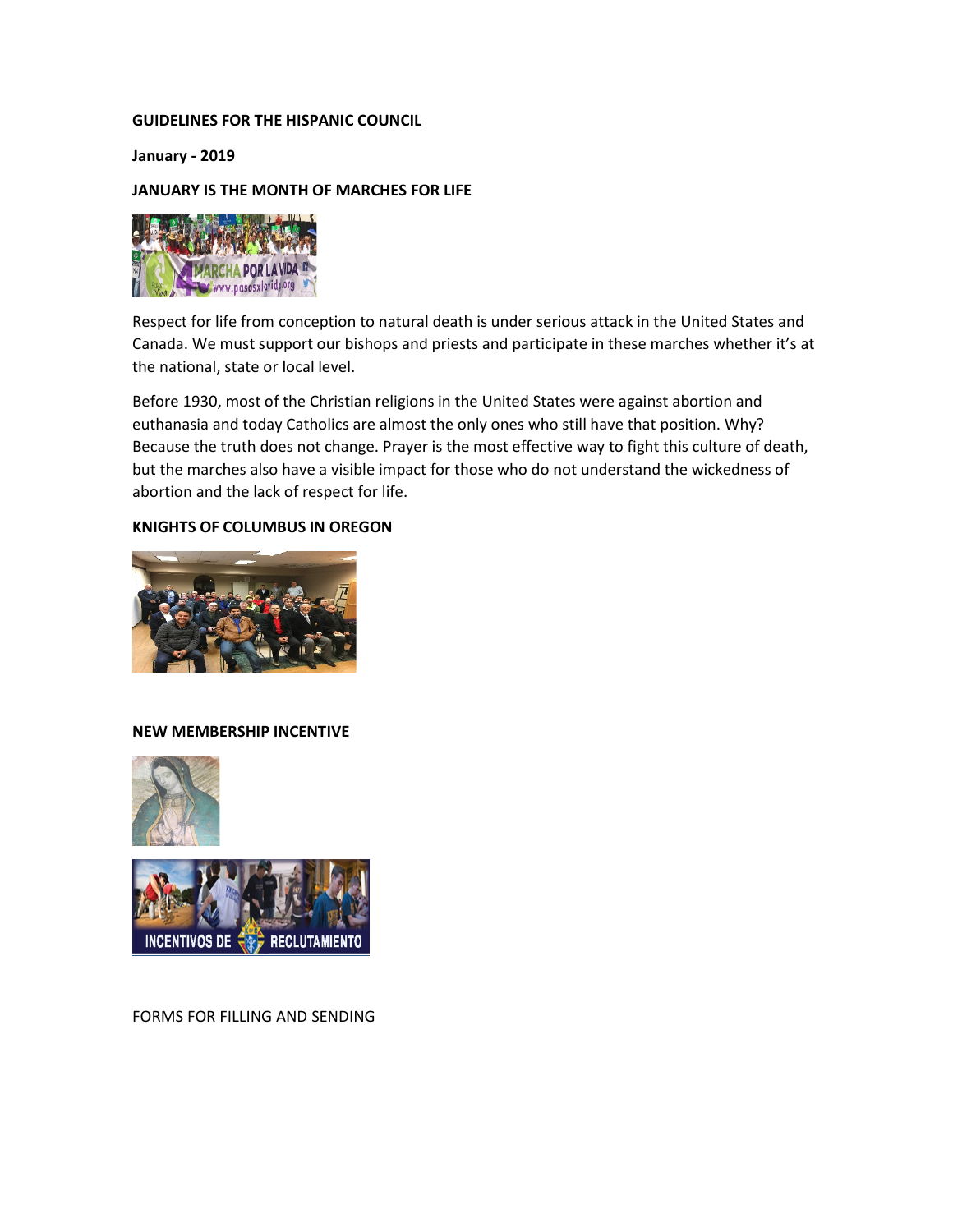# GUIDELINES FOR THE HISPANIC COUNCIL

January - 2019

# JANUARY IS THE MONTH OF MARCHES FOR LIFE



Respect for life from conception to natural death is under serious attack in the United States and Canada. We must support our bishops and priests and participate in these marches whether it's at the national, state or local level.

Before 1930, most of the Christian religions in the United States were against abortion and euthanasia and today Catholics are almost the only ones who still have that position. Why? Because the truth does not change. Prayer is the most effective way to fight this culture of death, but the marches also have a visible impact for those who do not understand the wickedness of abortion and the lack of respect for life.

### KNIGHTS OF COLUMBUS IN OREGON



#### NEW MEMBERSHIP INCENTIVE





FORMS FOR FILLING AND SENDING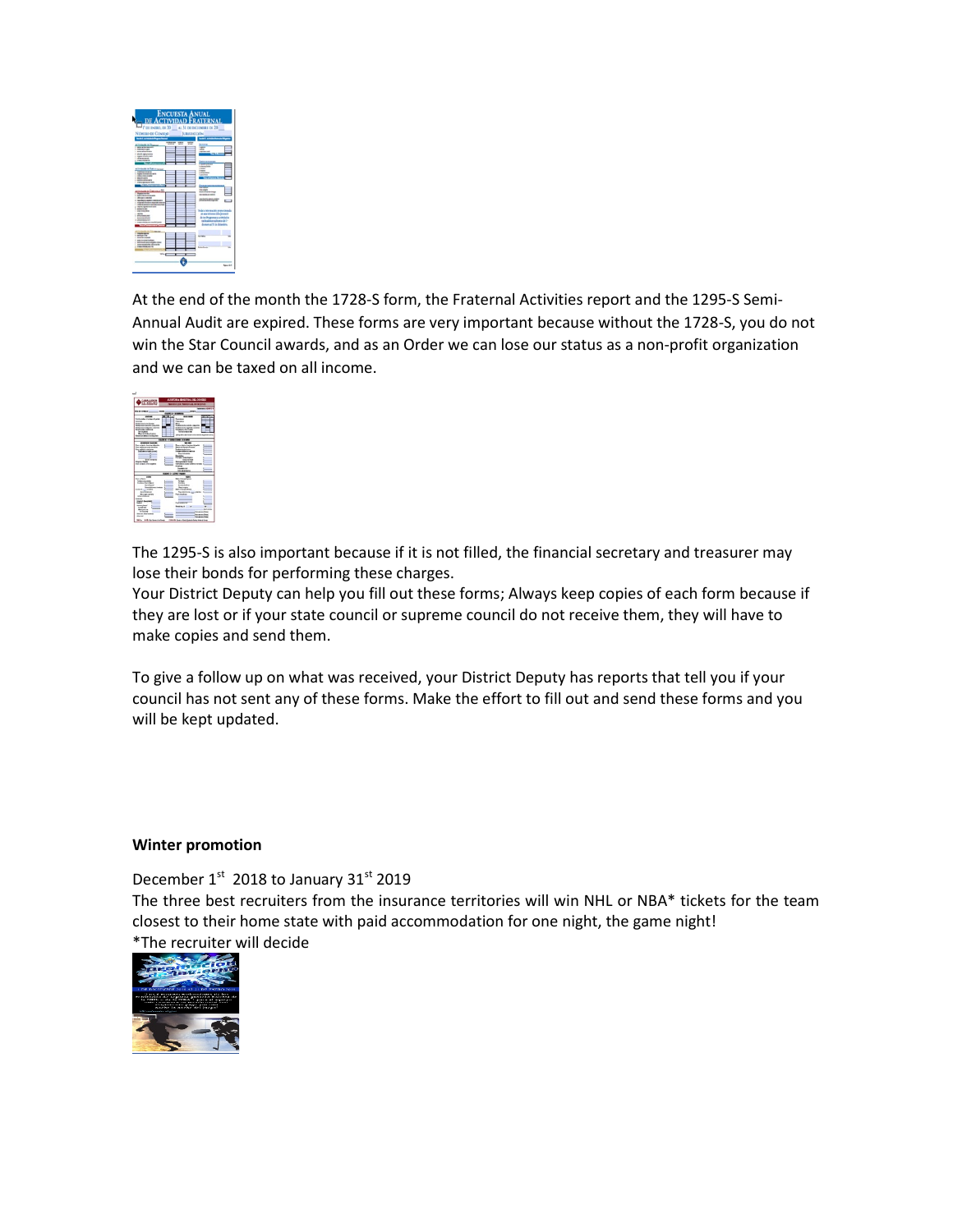|                                                                            |                | <b>ENCUESTA ANUAL</b> |                            |                 |
|----------------------------------------------------------------------------|----------------|-----------------------|----------------------------|-----------------|
|                                                                            |                |                       |                            |                 |
| - DE ACTIVIDAD FRATERNAI                                                   |                |                       |                            |                 |
|                                                                            |                |                       |                            |                 |
| P DE ENERO, DE 20 AL 31 DE DICIEMBRE DE 20                                 |                |                       |                            |                 |
|                                                                            |                |                       |                            |                 |
| <b>NOMERO DE CONSEIO</b>                                                   |                | <b>Texasocode</b>     |                            |                 |
| uth I satabald hyun from                                                   |                |                       |                            |                 |
|                                                                            | <b>CATALOG</b> |                       |                            |                 |
| <b>The Ball</b>                                                            | w.             | 77<br>╾               | <b>Business</b>            |                 |
| Ξ<br>1 GEORGE CARS                                                         |                |                       | -<br>$-100$                |                 |
| 1 <b>Browning Strain</b>                                                   |                |                       | <b>LECTRICIA</b>           |                 |
| <i><b><i><u>Seriespermine</u></i></b></i>                                  |                |                       |                            |                 |
| L. Mannerbridge burger<br><b>CONTRACTOR</b>                                |                |                       |                            |                 |
| <b>COMMERCIA</b>                                                           |                |                       |                            |                 |
| $\overline{\phantom{a}}$                                                   |                |                       |                            |                 |
|                                                                            |                |                       | Latingworkeda              |                 |
| amment in Saturnoon                                                        |                |                       | $-200$<br><b>CARDON</b>    |                 |
| ٠<br>1. Hammer of an expertisely country.                                  |                |                       | <b>LATING</b>              |                 |
| 1 miles de a trata                                                         |                |                       | <b>Laboratory</b>          |                 |
| <b>Construction</b>                                                        |                |                       |                            |                 |
| 1. Milledge condition capable<br><b>Consequence Int</b>                    |                |                       |                            |                 |
| -                                                                          |                |                       |                            |                 |
|                                                                            |                |                       | --<br><b>THE AFRICA</b>    |                 |
| <b>International T</b>                                                     |                |                       | deposite in the form       |                 |
| Parters in<br><b>Manufactured and</b>                                      |                |                       | on which as made a         |                 |
| 1 discuss capable                                                          |                |                       |                            |                 |
| Location with continues                                                    |                |                       | mitations.com              | ÷               |
| <b>STATIST STATE IN CONTRACTOR</b><br>collaboration and contact the factor |                |                       |                            |                 |
| reine riplement vert                                                       |                |                       |                            |                 |
| animals of                                                                 |                |                       | da la bella mesa Min       |                 |
| 1 year expires<br>since.                                                   |                |                       |                            |                 |
| <b>Photograph</b>                                                          |                |                       | at any lots                |                 |
| <b>Construction</b>                                                        |                |                       | <b>Alla Programme</b>      | ٠               |
| A Mandale Will<br>1 WHO ENGINEERS                                          |                |                       |                            |                 |
|                                                                            |                |                       | domestic 12 de dictionles. |                 |
|                                                                            |                |                       |                            |                 |
| <b>State Corporation</b>                                                   |                |                       |                            |                 |
| <b>Construction</b>                                                        |                |                       |                            |                 |
| <b>I mikers in</b><br><b>CONTRACTOR</b>                                    |                |                       |                            |                 |
| <b>Company's provident</b>                                                 |                |                       |                            |                 |
| 1. Michael Arch (Cable Library<br>٠                                        |                |                       |                            |                 |
| press managerity of a warfar<br>I does a high any for                      |                |                       | $\sim$                     |                 |
|                                                                            |                |                       |                            |                 |
|                                                                            |                |                       |                            |                 |
|                                                                            | $-1$           | $\overline{ }$        |                            |                 |
|                                                                            |                |                       |                            |                 |
|                                                                            |                |                       |                            |                 |
|                                                                            |                |                       |                            | <b>Revoluti</b> |
|                                                                            |                |                       |                            |                 |
|                                                                            |                |                       |                            |                 |
|                                                                            |                |                       |                            |                 |

At the end of the month the 1728-S form, the Fraternal Activities report and the 1295-S Semi-Annual Audit are expired. These forms are very important because without the 1728-S, you do not win the Star Council awards, and as an Order we can lose our status as a non-profit organization and we can be taxed on all income.



The 1295-S is also important because if it is not filled, the financial secretary and treasurer may lose their bonds for performing these charges.

Your District Deputy can help you fill out these forms; Always keep copies of each form because if they are lost or if your state council or supreme council do not receive them, they will have to make copies and send them.

To give a follow up on what was received, your District Deputy has reports that tell you if your council has not sent any of these forms. Make the effort to fill out and send these forms and you will be kept updated.

# Winter promotion

December 1<sup>st</sup> 2018 to January 31<sup>st</sup> 2019 The three best recruiters from the insurance territories will win NHL or NBA\* tickets for the team closest to their home state with paid accommodation for one night, the game night! \*The recruiter will decide